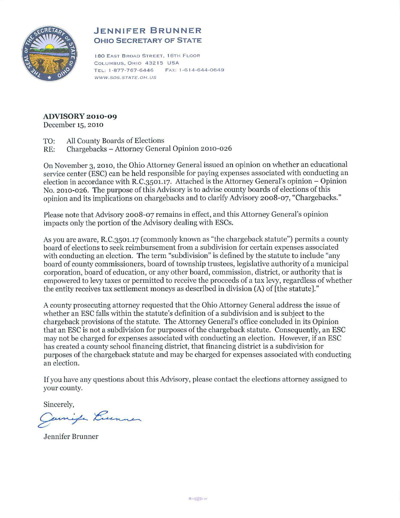

## **JENNIFER BRUNNER OHIO SECRETARY OF STATE**

180 EAST BROAD STREET, 16TH FLOOR COLUMBUS, OHIO 43215 USA TEL: 1-877-767-6446 FAX: 1-614-644-0649 WWW.SOS.STATE.OH. US

## **ADVISORY 2010-09**

December 15, 2010

- TO: All County Boards of Elections
- RE: Chargebacks Attorney General Opinion 2010-026

On November 3, 2010, the Ohio Attorney General issued an opinion on whether an educational service center (ESC) can be held responsible for paying expenses associated with conducting an election in accordance with R.C.3501.17. Attached is the Attorney General's opinion - Opinion No. 2010-026. The purpose of this Advisory is to advise county boards of elections of this opinion and its implications on chargebacks and to clarify Advisory 2008-07, "Chargebacks."

Please note that Advisory 2008-07 remains in effect, and this Attorney General's opinion impacts only the portion of the Advisory dealing with ESCs.

As you are aware, R.C.3501.17 (commonly known as "the chargeback statute") permits a county board of elections to seek reimbursement from a subdivision for certain expenses associated with conducting an election. The term "subdivision" is defined by the statute to include "any board of county commissioners, board of township trustees, legislative authority of a municipal corporation, board of education, or any other board, commission, district, or authority that is empowered to levy taxes or permitted to receive the proceeds of a tax levy, regardless of whether the entity receives tax settlement moneys as described in division (A) of [the statute]."

A county prosecuting attorney requested that the Ohio Attorney General address the issue of whether an ESC falls within the statute's definition of a subdivision and is subject to the chargeback provisions of the statute. The Attorney General's office concluded in its Opinion that an ESC is not a subdivision for purposes ofthe chargeback statute. Consequently, an ESC may not be charged for expenses associated with conducting an election. However, if an ESC has created a county school financing district, that financing district is a subdivision for purposes of the chargeback statute and may be charged for expenses associated with conducting an election.

If you have any questions about this Advisory, please contact the elections attorney assigned to your county.

Sincerely,

Jamifa Lummer

Jennifer Brunner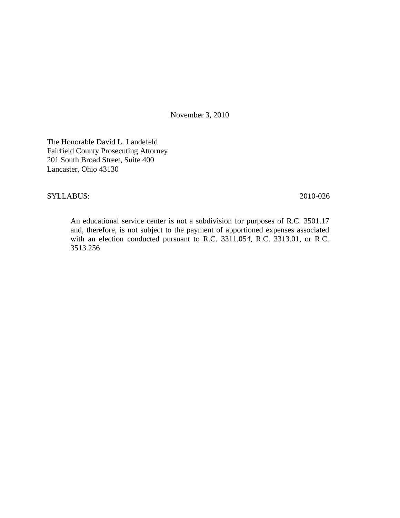November 3, 2010

The Honorable David L. Landefeld Fairfield County Prosecuting Attorney 201 South Broad Street, Suite 400 Lancaster, Ohio 43130

### SYLLABUS: 2010-026

An educational service center is not a subdivision for purposes of R.C. 3501.17 and, therefore, is not subject to the payment of apportioned expenses associated with an election conducted pursuant to R.C. 3311.054, R.C. 3313.01, or R.C. 3513.256.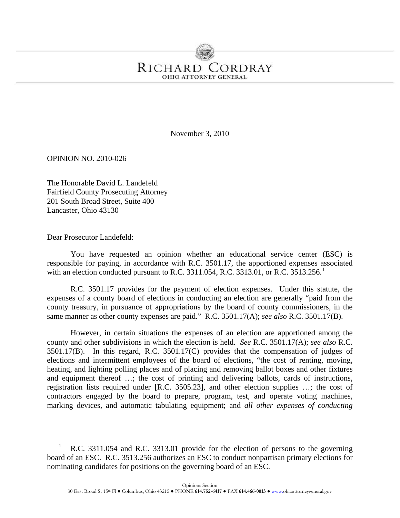# RICHARD CORDRAY **OHIO ATTORNEY GENERAL**

November 3, 2010

OPINION NO. 2010-026

The Honorable David L. Landefeld Fairfield County Prosecuting Attorney 201 South Broad Street, Suite 400 Lancaster, Ohio 43130

Dear Prosecutor Landefeld:

You have requested an opinion whether an educational service center (ESC) is responsible for paying, in accordance with R.C. 3501.17, the apportioned expenses associated with an election conducted pursuant to R.C. 33[1](#page-2-0)1.054, R.C. 3313.01, or R.C. 3513.256.<sup>1</sup>

R.C. 3501.17 provides for the payment of election expenses. Under this statute, the expenses of a county board of elections in conducting an election are generally "paid from the county treasury, in pursuance of appropriations by the board of county commissioners, in the same manner as other county expenses are paid." R.C. 3501.17(A); *see also* R.C. 3501.17(B).

However, in certain situations the expenses of an election are apportioned among the county and other subdivisions in which the election is held. *See* R.C. 3501.17(A); *see also* R.C. 3501.17(B). In this regard, R.C. 3501.17(C) provides that the compensation of judges of elections and intermittent employees of the board of elections, "the cost of renting, moving, heating, and lighting polling places and of placing and removing ballot boxes and other fixtures and equipment thereof …; the cost of printing and delivering ballots, cards of instructions, registration lists required under [R.C. 3505.23], and other election supplies …; the cost of contractors engaged by the board to prepare, program, test, and operate voting machines, marking devices, and automatic tabulating equipment; and *all other expenses of conducting* 

<span id="page-2-0"></span>R.C. 3311.054 and R.C. 3313.01 provide for the election of persons to the governing board of an ESC. R.C. 3513.256 authorizes an ESC to conduct nonpartisan primary elections for nominating candidates for positions on the governing board of an ESC. 1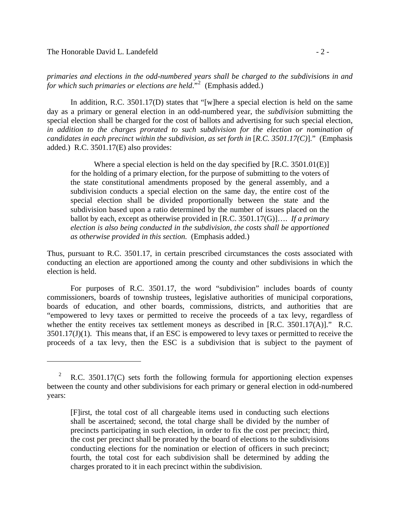#### The Honorable David L. Landefeld  $\sim$  2 -

1

*primaries and elections in the odd-numbered years shall be charged to the subdivisions in and for which such primaries or elections are held*."[2](#page-3-0) (Emphasis added.)

In addition, R.C. 3501.17(D) states that "[w]here a special election is held on the same day as a primary or general election in an odd-numbered year, the *subdivision* submitting the special election shall be charged for the cost of ballots and advertising for such special election, *in addition to the charges prorated to such subdivision for the election or nomination of candidates in each precinct within the subdivision, as set forth in* [*R.C. 3501.17(C)*]." (Emphasis added.) R.C. 3501.17(E) also provides:

Where a special election is held on the day specified by [R.C. 3501.01(E)] for the holding of a primary election, for the purpose of submitting to the voters of the state constitutional amendments proposed by the general assembly, and a subdivision conducts a special election on the same day, the entire cost of the special election shall be divided proportionally between the state and the subdivision based upon a ratio determined by the number of issues placed on the ballot by each, except as otherwise provided in [R.C. 3501.17(G)]…. *If a primary election is also being conducted in the subdivision, the costs shall be apportioned as otherwise provided in this section.* (Emphasis added.)

Thus, pursuant to R.C. 3501.17, in certain prescribed circumstances the costs associated with conducting an election are apportioned among the county and other subdivisions in which the election is held.

For purposes of R.C. 3501.17, the word "subdivision" includes boards of county commissioners, boards of township trustees, legislative authorities of municipal corporations, boards of education, and other boards, commissions, districts, and authorities that are "empowered to levy taxes or permitted to receive the proceeds of a tax levy, regardless of whether the entity receives tax settlement moneys as described in [R.C. 3501.17(A)]." R.C.  $3501.17(J)(1)$ . This means that, if an ESC is empowered to levy taxes or permitted to receive the proceeds of a tax levy, then the ESC is a subdivision that is subject to the payment of

<span id="page-3-0"></span> 2 R.C. 3501.17(C) sets forth the following formula for apportioning election expenses between the county and other subdivisions for each primary or general election in odd-numbered years:

<sup>[</sup>F]irst, the total cost of all chargeable items used in conducting such elections shall be ascertained; second, the total charge shall be divided by the number of precincts participating in such election, in order to fix the cost per precinct; third, the cost per precinct shall be prorated by the board of elections to the subdivisions conducting elections for the nomination or election of officers in such precinct; fourth, the total cost for each subdivision shall be determined by adding the charges prorated to it in each precinct within the subdivision.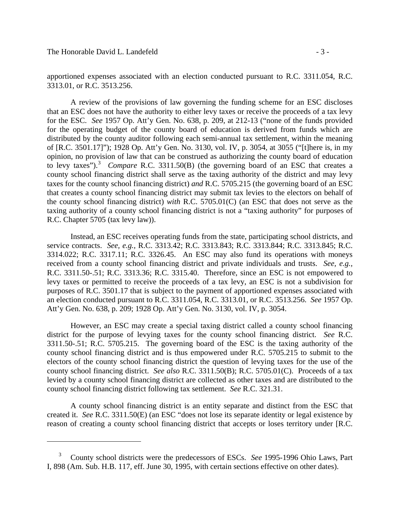1

apportioned expenses associated with an election conducted pursuant to R.C. 3311.054, R.C. 3313.01, or R.C. 3513.256.

 for the ESC. *See* 1957 Op. Att'y Gen. No. 638, p. 209, at 212-13 ("none of the funds provided to levy taxes").[3](#page-4-0) *Compare* R.C. 3311.50(B) (the governing board of an ESC that creates a A review of the provisions of law governing the funding scheme for an ESC discloses that an ESC does not have the authority to either levy taxes or receive the proceeds of a tax levy for the operating budget of the county board of education is derived from funds which are distributed by the county auditor following each semi-annual tax settlement, within the meaning of [R.C. 3501.17]"); 1928 Op. Att'y Gen. No. 3130, vol. IV, p. 3054, at 3055 ("[t]here is, in my opinion, no provision of law that can be construed as authorizing the county board of education county school financing district shall serve as the taxing authority of the district and may levy taxes for the county school financing district) *and* R.C. 5705.215 (the governing board of an ESC that creates a county school financing district may submit tax levies to the electors on behalf of the county school financing district) *with* R.C. 5705.01(C) (an ESC that does not serve as the taxing authority of a county school financing district is not a "taxing authority" for purposes of R.C. Chapter 5705 (tax levy law)).

 service contracts. *See, e.g.,* R.C. 3313.42; R.C. 3313.843; R.C. 3313.844; R.C. 3313.845; R.C. Instead, an ESC receives operating funds from the state, participating school districts, and 3314.022; R.C. 3317.11; R.C. 3326.45. An ESC may also fund its operations with moneys received from a county school financing district and private individuals and trusts. *See, e.g.,*  R.C. 3311.50-.51; R.C. 3313.36; R.C. 3315.40. Therefore, since an ESC is not empowered to levy taxes or permitted to receive the proceeds of a tax levy, an ESC is not a subdivision for purposes of R.C. 3501.17 that is subject to the payment of apportioned expenses associated with an election conducted pursuant to R.C. 3311.054, R.C. 3313.01, or R.C. 3513.256. *See* 1957 Op. Att'y Gen. No. 638, p. 209; 1928 Op. Att'y Gen. No. 3130, vol. IV, p. 3054.

However, an ESC may create a special taxing district called a county school financing district for the purpose of levying taxes for the county school financing district. *See* R.C. 3311.50-.51; R.C. 5705.215. The governing board of the ESC is the taxing authority of the county school financing district and is thus empowered under R.C. 5705.215 to submit to the electors of the county school financing district the question of levying taxes for the use of the county school financing district. *See also* R.C. 3311.50(B); R.C. 5705.01(C). Proceeds of a tax levied by a county school financing district are collected as other taxes and are distributed to the county school financing district following tax settlement. *See* R.C. 321.31.

A county school financing district is an entity separate and distinct from the ESC that created it. *See* R.C. 3311.50(E) (an ESC "does not lose its separate identity or legal existence by reason of creating a county school financing district that accepts or loses territory under [R.C.

<span id="page-4-0"></span>County school districts were the predecessors of ESCs. *See* 1995-1996 Ohio Laws, Part I, 898 (Am. Sub. H.B. 117, eff. June 30, 1995, with certain sections effective on other dates). 3